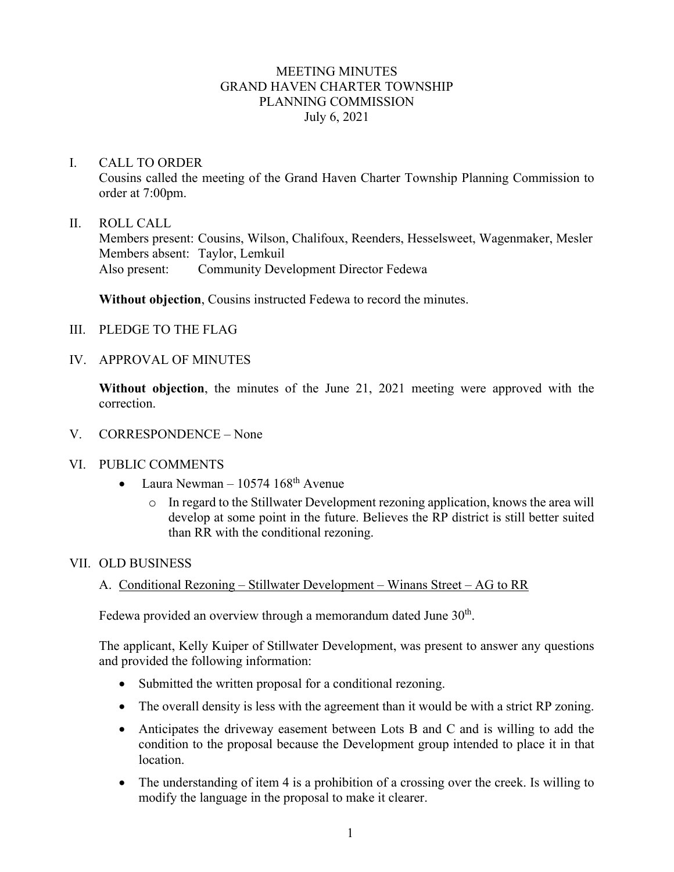### MEETING MINUTES GRAND HAVEN CHARTER TOWNSHIP PLANNING COMMISSION July 6, 2021

### I. CALL TO ORDER

Cousins called the meeting of the Grand Haven Charter Township Planning Commission to order at 7:00pm.

#### II. ROLL CALL

Members present: Cousins, Wilson, Chalifoux, Reenders, Hesselsweet, Wagenmaker, Mesler Members absent: Taylor, Lemkuil Also present: Community Development Director Fedewa

**Without objection**, Cousins instructed Fedewa to record the minutes.

- III. PLEDGE TO THE FLAG
- IV. APPROVAL OF MINUTES

**Without objection**, the minutes of the June 21, 2021 meeting were approved with the correction.

- V. CORRESPONDENCE None
- VI. PUBLIC COMMENTS
	- Laura Newman  $10574~168^{\text{th}}$  Avenue
		- o In regard to the Stillwater Development rezoning application, knows the area will develop at some point in the future. Believes the RP district is still better suited than RR with the conditional rezoning.

#### VII. OLD BUSINESS

# A. Conditional Rezoning – Stillwater Development – Winans Street – AG to RR

Fedewa provided an overview through a memorandum dated June  $30<sup>th</sup>$ .

The applicant, Kelly Kuiper of Stillwater Development, was present to answer any questions and provided the following information:

- Submitted the written proposal for a conditional rezoning.
- The overall density is less with the agreement than it would be with a strict RP zoning.
- Anticipates the driveway easement between Lots B and C and is willing to add the condition to the proposal because the Development group intended to place it in that location.
- The understanding of item 4 is a prohibition of a crossing over the creek. Is willing to modify the language in the proposal to make it clearer.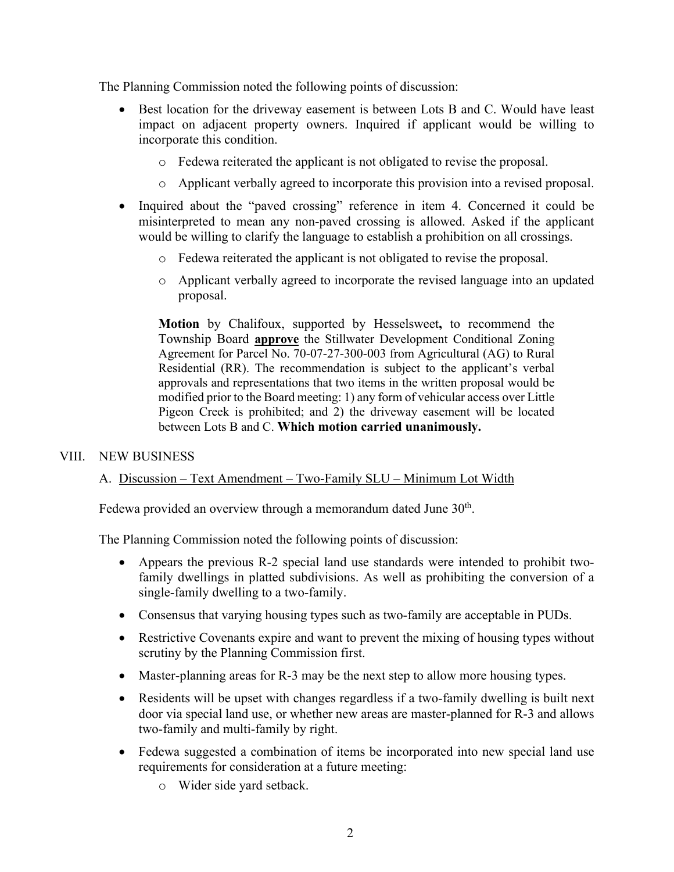The Planning Commission noted the following points of discussion:

- Best location for the driveway easement is between Lots B and C. Would have least impact on adjacent property owners. Inquired if applicant would be willing to incorporate this condition.
	- o Fedewa reiterated the applicant is not obligated to revise the proposal.
	- o Applicant verbally agreed to incorporate this provision into a revised proposal.
- Inquired about the "paved crossing" reference in item 4. Concerned it could be misinterpreted to mean any non-paved crossing is allowed. Asked if the applicant would be willing to clarify the language to establish a prohibition on all crossings.
	- o Fedewa reiterated the applicant is not obligated to revise the proposal.
	- o Applicant verbally agreed to incorporate the revised language into an updated proposal.

**Motion** by Chalifoux, supported by Hesselsweet**,** to recommend the Township Board **approve** the Stillwater Development Conditional Zoning Agreement for Parcel No. 70-07-27-300-003 from Agricultural (AG) to Rural Residential (RR). The recommendation is subject to the applicant's verbal approvals and representations that two items in the written proposal would be modified prior to the Board meeting: 1) any form of vehicular access over Little Pigeon Creek is prohibited; and 2) the driveway easement will be located between Lots B and C. **Which motion carried unanimously.**

# VIII. NEW BUSINESS

# A. Discussion – Text Amendment – Two-Family SLU – Minimum Lot Width

Fedewa provided an overview through a memorandum dated June  $30<sup>th</sup>$ .

The Planning Commission noted the following points of discussion:

- Appears the previous R-2 special land use standards were intended to prohibit twofamily dwellings in platted subdivisions. As well as prohibiting the conversion of a single-family dwelling to a two-family.
- Consensus that varying housing types such as two-family are acceptable in PUDs.
- Restrictive Covenants expire and want to prevent the mixing of housing types without scrutiny by the Planning Commission first.
- Master-planning areas for R-3 may be the next step to allow more housing types.
- Residents will be upset with changes regardless if a two-family dwelling is built next door via special land use, or whether new areas are master-planned for R-3 and allows two-family and multi-family by right.
- Fedewa suggested a combination of items be incorporated into new special land use requirements for consideration at a future meeting:
	- o Wider side yard setback.